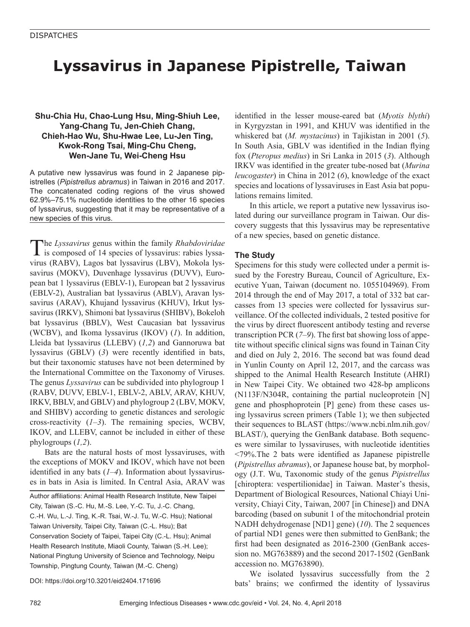## **Lyssavirus in Japanese Pipistrelle, Taiwan**

### **Shu-Chia Hu, Chao-Lung Hsu, Ming-Shiuh Lee, Yang-Chang Tu, Jen-Chieh Chang, Chieh-Hao Wu, Shu-Hwae Lee, Lu-Jen Ting, Kwok-Rong Tsai, Ming-Chu Cheng, Wen-Jane Tu, Wei-Cheng Hsu**

A putative new lyssavirus was found in 2 Japanese pipistrelles (*Pipistrellus abramus*) in Taiwan in 2016 and 2017. The concatenated coding regions of the virus showed 62.9%–75.1% nucleotide identities to the other 16 species of lyssavirus, suggesting that it may be representative of a new species of this virus.

The *Lyssavirus* genus within the family *Rhabdoviridae*<br>is composed of 14 species of lyssavirus: rabies lyssavirus (RABV), Lagos bat lyssavirus (LBV), Mokola lyssavirus (MOKV), Duvenhage lyssavirus (DUVV), European bat 1 lyssavirus (EBLV-1), European bat 2 lyssavirus (EBLV-2), Australian bat lyssavirus (ABLV), Aravan lyssavirus (ARAV), Khujand lyssavirus (KHUV), Irkut lyssavirus (IRKV), Shimoni bat lyssavirus (SHIBV), Bokeloh bat lyssavirus (BBLV), West Caucasian bat lyssavirus (WCBV), and Ikoma lyssavirus (IKOV) (*1*). In addition, Lleida bat lyssavirus (LLEBV) (*1,2*) and Gannoruwa bat lyssavirus (GBLV) (*3*) were recently identified in bats, but their taxonomic statuses have not been determined by the International Committee on the Taxonomy of Viruses. The genus *Lyssavirus* can be subdivided into phylogroup 1 (RABV, DUVV, EBLV-1, EBLV-2, ABLV, ARAV, KHUV, IRKV, BBLV, and GBLV) and phylogroup 2 (LBV, MOKV, and SHIBV) according to genetic distances and serologic cross-reactivity (*1–3*). The remaining species, WCBV, IKOV, and LLEBV, cannot be included in either of these phylogroups (*1,2*).

Bats are the natural hosts of most lyssaviruses, with the exceptions of MOKV and IKOV, which have not been identified in any bats (*1–4*). Information about lyssaviruses in bats in Asia is limited. In Central Asia, ARAV was

Author affiliations: Animal Health Research Institute, New Taipei City, Taiwan (S.-C. Hu, M.-S. Lee, Y.-C. Tu, J.-C. Chang, C.-H. Wu, L.-J. Ting, K.-R. Tsai, W.-J. Tu, W.-C. Hsu); National Taiwan University, Taipei City, Taiwan (C.-L. Hsu); Bat Conservation Society of Taipei, Taipei City (C.-L. Hsu); Animal Health Research Institute, Miaoli County, Taiwan (S.-H. Lee); National Pingtung University of Science and Technology, Neipu Township, Pingtung County, Taiwan (M.-C. Cheng)

DOI: https://doi.org/10.3201/eid2404.171696

identified in the lesser mouse-eared bat (*Myotis blythi*) in Kyrgyzstan in 1991, and KHUV was identified in the whiskered bat (*M. mystacinus*) in Tajikistan in 2001 (*5*). In South Asia, GBLV was identified in the Indian flying fox (*Pteropus medius*) in Sri Lanka in 2015 (*3*). Although IRKV was identified in the greater tube-nosed bat (*Murina leucogaster*) in China in 2012 (*6*), knowledge of the exact species and locations of lyssaviruses in East Asia bat populations remains limited.

In this article, we report a putative new lyssavirus isolated during our surveillance program in Taiwan. Our discovery suggests that this lyssavirus may be representative of a new species, based on genetic distance.

#### **The Study**

Specimens for this study were collected under a permit issued by the Forestry Bureau, Council of Agriculture, Executive Yuan, Taiwan (document no. 1055104969). From 2014 through the end of May 2017, a total of 332 bat carcasses from 13 species were collected for lyssavirus surveillance. Of the collected individuals, 2 tested positive for the virus by direct fluorescent antibody testing and reverse transcription PCR (*7–9*). The first bat showing loss of appetite without specific clinical signs was found in Tainan City and died on July 2, 2016. The second bat was found dead in Yunlin County on April 12, 2017, and the carcass was shipped to the Animal Health Research Institute (AHRI) in New Taipei City. We obtained two 428-bp amplicons (N113F/N304R, containing the partial nucleoprotein [N] gene and phosphoprotein [P] gene) from these cases using lyssavirus screen primers (Table 1); we then subjected their sequences to BLAST (https://www.ncbi.nlm.nih.gov/ BLAST/), querying the GenBank database. Both sequences were similar to lyssaviruses, with nucleotide identities <79%.The 2 bats were identified as Japanese pipistrelle (*Pipistrellus abramus*), or Japanese house bat, by morphology (J.T. Wu, Taxonomic study of the genus *Pipistrellus* [chiroptera: vespertilionidae] in Taiwan. Master's thesis, Department of Biological Resources, National Chiayi University, Chiayi City, Taiwan, 2007 [in Chinese]) and DNA barcoding (based on subunit 1 of the mitochondrial protein NADH dehydrogenase [ND1] gene) (*10*). The 2 sequences of partial ND1 genes were then submitted to GenBank; the first had been designated as 2016-2300 (GenBank accession no. MG763889) and the second 2017-1502 (GenBank accession no. MG763890).

We isolated lyssavirus successfully from the 2 bats' brains; we confirmed the identity of lyssavirus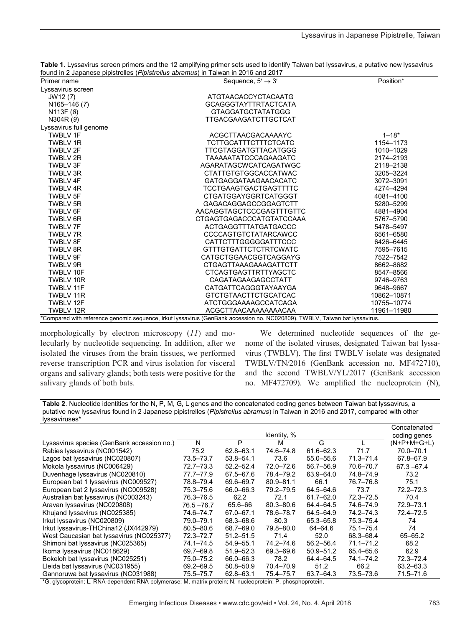|                        | tound in 2 Japanese pipistrelles ( <i>Pipistrellus abramus</i> ) in Taiwan in 2016 and 2017                                 |             |  |
|------------------------|-----------------------------------------------------------------------------------------------------------------------------|-------------|--|
| Primer name            | Sequence, $5' \rightarrow 3'$                                                                                               | Position*   |  |
| Lyssavirus screen      |                                                                                                                             |             |  |
| JW12 (7)               | ATGTAACACCYCTACAATG                                                                                                         |             |  |
| N165-146 (7)           | <b>GCAGGGTAYTTRTACTCATA</b>                                                                                                 |             |  |
| N113F (8)              | <b>GTAGGATGCTATATGGG</b>                                                                                                    |             |  |
| N304R (9)              | <b>TTGACGAAGATCTTGCTCAT</b>                                                                                                 |             |  |
| Lyssavirus full genome |                                                                                                                             |             |  |
| <b>TWBLV 1F</b>        | ACGCTTAACGACAAAAYC                                                                                                          | $1 - 18*$   |  |
| <b>TWBLV1R</b>         | <b>TCTTGCATTTCTTTCTCATC</b>                                                                                                 | 1154-1173   |  |
| <b>TWBLV 2F</b>        | TTCGTAGGATGTTACATGGG                                                                                                        | 1010-1029   |  |
| TWBLV 2R               | <b>TAAAAATATCCCAGAAGATC</b>                                                                                                 | 2174-2193   |  |
| <b>TWBLV3F</b>         | AGARATAGCWCATCAGATWGC                                                                                                       | 2118-2138   |  |
| <b>TWBLV3R</b>         | <b>CTATTGTGTGGCACCATWAC</b>                                                                                                 | 3205-3224   |  |
| <b>TWBLV 4F</b>        | <b>GATGAGGATAAGAACACATC</b>                                                                                                 | 3072-3091   |  |
| TWBLV 4R               | <b>TCCTGAAGTGACTGAGTTTTC</b>                                                                                                | 4274-4294   |  |
| <b>TWBLV 5F</b>        | <b>CTGATGGAYGGRTCATGGGT</b>                                                                                                 | 4081-4100   |  |
| <b>TWBLV 5R</b>        | GAGACAGGAGCCGGAGTCTT                                                                                                        | 5280-5299   |  |
| <b>TWBLV 6F</b>        | AACAGGTAGCTCCCGAGTTTGTTC                                                                                                    | 4881-4904   |  |
| <b>TWBLV 6R</b>        | CTGAGTGAGACCCATGTATCCAAA                                                                                                    | 5767-5790   |  |
| <b>TWBLV7F</b>         | ACTGAGGTTTATGATGACCC                                                                                                        | 5478-5497   |  |
| <b>TWBLV7R</b>         | CCCCAGTGTCTATARCAWCC                                                                                                        | 6561-6580   |  |
| <b>TWBLV 8F</b>        | CATTCTTTGGGGGATTTCCC                                                                                                        | 6426-6445   |  |
| <b>TWBLV 8R</b>        | <b>GTTTGTGATTCTCTRTCWATC</b>                                                                                                | 7595-7615   |  |
| <b>TWBLV 9F</b>        | CATGCTGGAACGGTCAGGAYG                                                                                                       | 7522-7542   |  |
| <b>TWBLV 9R</b>        | <b>CTGAGTTAAAGAAAGATTCTT</b>                                                                                                | 8662-8682   |  |
| TWBLV 10F              | <b>CTCAGTGAGTTRTTYAGCTC</b>                                                                                                 | 8547-8566   |  |
| TWBLV 10R              | CAGATAGAAGAGCCTATT                                                                                                          | 9746-9763   |  |
| TWBLV 11F              | CATGATTCAGGGTAYAAYGA                                                                                                        | 9648-9667   |  |
| TWBLV 11R              | <b>GTCTGTAACTTCTGCATCAC</b>                                                                                                 | 10862-10871 |  |
| TWBLV 12F              | ATCTGGGAAAAGCCATCAGA                                                                                                        | 10755-10774 |  |
| TWBLV 12R              | ACGCTTAACAAAAAAAACAA                                                                                                        | 11961-11980 |  |
|                        | *Compared with reference genomic sequence, Irkut Iyssavirus (GenBank accession no. NC020809). TWBLV, Taiwan bat Iyssavirus. |             |  |

**Table 1**. Lyssavirus screen primers and the 12 amplifying primer sets used to identify Taiwan bat lyssavirus, a putative new lyssavirus found in 2 Japanese pipistrelles (*Pipistrellus abramus*) in Taiwan in 2016 and 2017

morphologically by electron microscopy (*11*) and molecularly by nucleotide sequencing. In addition, after we isolated the viruses from the brain tissues, we performed reverse transcription PCR and virus isolation for visceral organs and salivary glands; both tests were positive for the salivary glands of both bats.

We determined nucleotide sequences of the genome of the isolated viruses, designated Taiwan bat lyssavirus (TWBLV). The first TWBLV isolate was designated TWBLV/TN/2016 (GenBank accession no. MF472710), and the second TWBLV/YL/2017 (GenBank accession no. MF472709). We amplified the nucleoprotein (N),

**Table 2**. Nucleotide identities for the N, P, M, G, L genes and the concatenated coding genes between Taiwan bat lyssavirus, a putative new lyssavirus found in 2 Japanese pipistrelles (*Pipistrellus abramus*) in Taiwan in 2016 and 2017, compared with other lyssaviruses\*

|                                                                                                            |               |               |               |               |               | Concatenated  |  |  |  |
|------------------------------------------------------------------------------------------------------------|---------------|---------------|---------------|---------------|---------------|---------------|--|--|--|
|                                                                                                            |               |               | Identity, %   |               |               | coding genes  |  |  |  |
| Lyssavirus species (GenBank accession no.)                                                                 | N             | P             | м             | G             |               | $(N+P+M+G+L)$ |  |  |  |
| Rabies lyssavirus (NC001542)                                                                               | 75.2          | $62.8 - 63.1$ | 74.6-74.8     | $61.6 - 62.3$ | 71.7          | 70.0-70.1     |  |  |  |
| Lagos bat lyssavirus (NC020807)                                                                            | 73.5–73.7     | $53.8 - 54.1$ | 73.6          | 55.0 - 55.6   | $71.3 - 71.4$ | 67.8-67.9     |  |  |  |
| Mokola Iyssavirus (NC006429)                                                                               | 72.7–73.3     | $52.2 - 52.4$ | 72.0-72.6     | 56.7-56.9     | 70.6-70.7     | $67.3 - 67.4$ |  |  |  |
| Duvenhage lyssavirus (NC020810)                                                                            | 77.7-77.9     | 67.5-67.6     | 78.4-79.2     | 63.9-64.0     | 74.8-74.9     | 73.2          |  |  |  |
| European bat 1 lyssavirus (NC009527)                                                                       | 78.8-79.4     | 69.6-69.7     | $80.9 - 81.1$ | 66.1          | 76.7-76.8     | 75.1          |  |  |  |
| European bat 2 lyssavirus (NC009528)                                                                       | 75.3–75.6     | 66.0-66.3     | 79.2-79.5     | $64.5 - 64.6$ | 73.7          | $72.2 - 72.3$ |  |  |  |
| Australian bat lyssavirus (NC003243)                                                                       | 76.3-76.5     | 62.2          | 72.1          | $61.7 - 62.0$ | $72.3 - 72.5$ | 70.4          |  |  |  |
| Aravan Iyssavirus (NC020808)                                                                               | $76.5 - 76.7$ | 65.6-66       | $80.3 - 80.6$ | 64.4-64.5     | 74.6-74.9     | 72.9-73.1     |  |  |  |
| Khujand lyssavirus (NC025385)                                                                              | 74.6-74.7     | 67.0-67.1     | 78.6-78.7     | 64.5-64.9     | 74.2-74.3     | 72.4-72.5     |  |  |  |
| Irkut Iyssavirus (NC020809)                                                                                | 79.0-79.1     | 68.3-68.6     | 80.3          | 65.3-65.8     | 75.3-75.4     | 74            |  |  |  |
| Irkut lyssavirus-THChina12 (JX442979)                                                                      | $80.5 - 80.6$ | 68.7-69.0     | 79.8-80.0     | $64 - 64.6$   | $75.1 - 75.4$ | 74            |  |  |  |
| West Caucasian bat Iyssavirus (NC025377)                                                                   | 72.3-72.7     | $51.2 - 51.5$ | 71.4          | 52.0          | 68.3-68.4     | $65 - 65.2$   |  |  |  |
| Shimoni bat Iyssavirus (NC025365)                                                                          | 74.1-74.5     | $54.9 - 55.1$ | 74.2-74.6     | $56.2 - 56.4$ | $71.1 - 71.2$ | 68.2          |  |  |  |
| Ikoma Iyssavirus (NC018629)                                                                                | 69.7-69.8     | $51.9 - 52.3$ | 69.3-69.6     | $50.9 - 51.2$ | 65.4-65.6     | 62.9          |  |  |  |
| Bokeloh bat Iyssavirus (NC025251)                                                                          | 75.0-75.2     | 66.0-66.3     | 78.2          | 64.4-64.5     | 74.1-74.2     | 72.3-72.4     |  |  |  |
| Lleida bat lyssavirus (NC031955)                                                                           | 69.2-69.5     | $50.8 - 50.9$ | 70.4-70.9     | 51.2          | 66.2          | 63.2-63.3     |  |  |  |
| Gannoruwa bat Iyssavirus (NC031988)                                                                        | 75.5–75.7     | $62.8 - 63.1$ | 75.4-75.7     | 63.7-64.3     | 73.5-73.6     | 71.5-71.6     |  |  |  |
| *G, glycoprotein; L, RNA-dependent RNA polymerase; M, matrix protein; N, nucleoprotein; P, phosphoprotein. |               |               |               |               |               |               |  |  |  |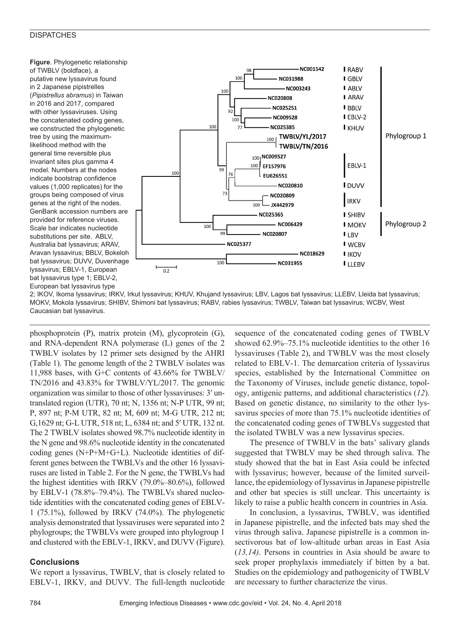#### **DISPATCHES**

**Figure**. Phylogenetic relationship of TWBLV (boldface), a putative new lyssavirus found in 2 Japanese pipistrelles (*Pipistrellus abramus*) in Taiwan in 2016 and 2017, compared with other lyssaviruses. Using the concatenated coding genes, we constructed the phylogenetic tree by using the maximumlikelihood method with the general time reversible plus invariant sites plus gamma 4 model. Numbers at the nodes indicate bootstrap confidence values (1,000 replicates) for the groups being composed of virus genes at the right of the nodes. GenBank accession numbers are provided for reference viruses. Scale bar indicates nucleotide substitutions per site. ABLV, Australia bat lyssavirus; ARAV, Aravan lyssavirus; BBLV, Bokeloh bat lyssavirus; DUVV, Duvenhage lyssavirus; EBLV-1, European bat lyssavirus type 1; EBLV-2, European bat lyssavirus type



2; IKOV, Ikoma lyssavirus; IRKV, Irkut lyssavirus; KHUV, Khujand lyssavirus; LBV, Lagos bat lyssavirus; LLEBV, Lleida bat lyssavirus; MOKV, Mokola lyssavirus; SHIBV, Shimoni bat lyssavirus; RABV, rabies lyssavirus; TWBLV, Taiwan bat lyssavirus; WCBV, West Caucasian bat lyssavirus.

phosphoprotein (P), matrix protein (M), glycoprotein (G), and RNA-dependent RNA polymerase (L) genes of the 2 TWBLV isolates by 12 primer sets designed by the AHRI (Table 1). The genome length of the 2 TWBLV isolates was 11,988 bases, with G+C contents of 43.66% for TWBLV/ TN/2016 and 43.83% for TWBLV/YL/2017. The genomic organization was similar to those of other lyssaviruses: 3′ untranslated region (UTR), 70 nt; N, 1356 nt; N-P UTR, 99 nt; P, 897 nt; P-M UTR, 82 nt; M, 609 nt; M-G UTR, 212 nt; G,1629 nt; G-L UTR, 518 nt; L, 6384 nt; and 5′ UTR, 132 nt. The 2 TWBLV isolates showed 98.7% nucleotide identity in the N gene and 98.6% nucleotide identity in the concatenated coding genes (N+P+M+G+L). Nucleotide identities of different genes between the TWBLVs and the other 16 lyssaviruses are listed in Table 2. For the N gene, the TWBLVs had the highest identities with IRKV (79.0%–80.6%), followed by EBLV-1 (78.8%–79.4%). The TWBLVs shared nucleotide identities with the concatenated coding genes of EBLV-1 (75.1%), followed by IRKV (74.0%). The phylogenetic analysis demonstrated that lyssaviruses were separated into 2 phylogroups; the TWBLVs were grouped into phylogroup 1 and clustered with the EBLV-1, IRKV, and DUVV (Figure).

#### **Conclusions**

We report a lyssavirus, TWBLV, that is closely related to EBLV-1, IRKV, and DUVV. The full-length nucleotide sequence of the concatenated coding genes of TWBLV showed 62.9%–75.1% nucleotide identities to the other 16 lyssaviruses (Table 2), and TWBLV was the most closely related to EBLV-1. The demarcation criteria of lyssavirus species, established by the International Committee on the Taxonomy of Viruses, include genetic distance, topology, antigenic patterns, and additional characteristics (*12*). Based on genetic distance, no similarity to the other lyssavirus species of more than 75.1% nucleotide identities of the concatenated coding genes of TWBLVs suggested that the isolated TWBLV was a new lyssavirus species.

The presence of TWBLV in the bats' salivary glands suggested that TWBLV may be shed through saliva. The study showed that the bat in East Asia could be infected with lyssavirus; however, because of the limited surveillance, the epidemiology of lyssavirus in Japanese pipistrelle and other bat species is still unclear. This uncertainty is likely to raise a public health concern in countries in Asia.

In conclusion, a lyssavirus, TWBLV, was identified in Japanese pipistrelle, and the infected bats may shed the virus through saliva. Japanese pipistrelle is a common insectivorous bat of low-altitude urban areas in East Asia (*13,14)*. Persons in countries in Asia should be aware to seek proper prophylaxis immediately if bitten by a bat. Studies on the epidemiology and pathogenicity of TWBLV are necessary to further characterize the virus.